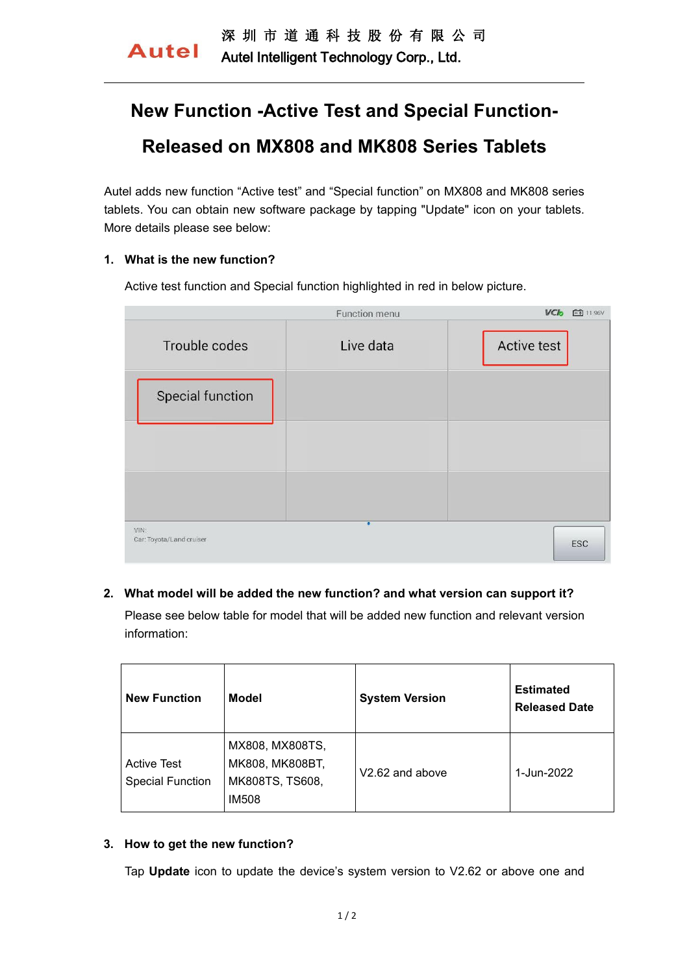Autel Intelligent Technology Corp., Ltd.

# **New Function -Active Test and Special Function- Released on MX808 and MK808 Series Tablets**

Autel adds new function "Active test" and "Special function" on MX808 and MK808 series tablets. You can obtain new software package by tapping "Update" icon on your tablets. More details please see below:

## **1. What is the new function?**

Active test function and Special function highlighted in red in below picture.

| Function menu                    |           | <b>VClo</b> 白 11.96V |  |
|----------------------------------|-----------|----------------------|--|
| Trouble codes                    | Live data | <b>Active test</b>   |  |
| <b>Special function</b>          |           |                      |  |
|                                  |           |                      |  |
|                                  |           |                      |  |
| VIN:<br>Car: Toyota/Land cruiser | $\bullet$ | <b>ESC</b>           |  |

## **2. What model will be added the new function? and what version can support it?**

Please see below table for model that will be added new function and relevant version information:

| <b>New Function</b>                           | <b>Model</b>                                                          | <b>System Version</b>       | <b>Estimated</b><br><b>Released Date</b> |
|-----------------------------------------------|-----------------------------------------------------------------------|-----------------------------|------------------------------------------|
| <b>Active Test</b><br><b>Special Function</b> | MX808, MX808TS,<br>MK808, MK808BT,<br>MK808TS, TS608,<br><b>IM508</b> | V <sub>2.62</sub> and above | 1-Jun-2022                               |

## **3. How to get the new function?**

Tap **Update** icon to update the device's system version to V2.62 or above one and